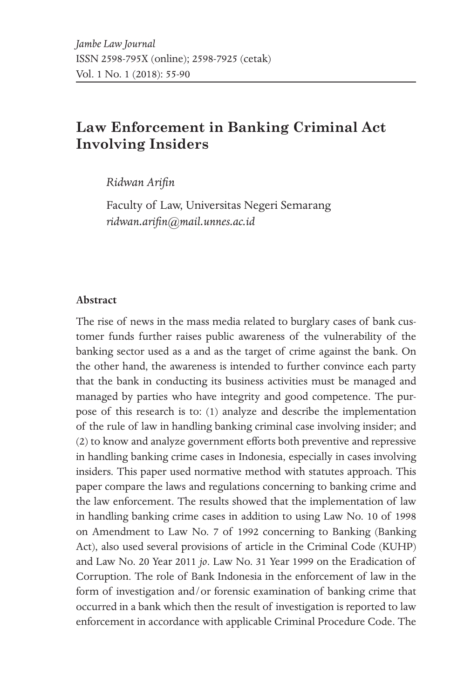# **Law Enforcement in Banking Criminal Act Involving Insiders**

*Ridwan Arifin*

Faculty of Law, Universitas Negeri Semarang *ridwan.arifin@mail.unnes.ac.id*

#### **Abstract**

The rise of news in the mass media related to burglary cases of bank customer funds further raises public awareness of the vulnerability of the banking sector used as a and as the target of crime against the bank. On the other hand, the awareness is intended to further convince each party that the bank in conducting its business activities must be managed and managed by parties who have integrity and good competence. The purpose of this research is to: (1) analyze and describe the implementation of the rule of law in handling banking criminal case involving insider; and (2) to know and analyze government efforts both preventive and repressive in handling banking crime cases in Indonesia, especially in cases involving insiders. This paper used normative method with statutes approach. This paper compare the laws and regulations concerning to banking crime and the law enforcement. The results showed that the implementation of law in handling banking crime cases in addition to using Law No. 10 of 1998 on Amendment to Law No. 7 of 1992 concerning to Banking (Banking Act), also used several provisions of article in the Criminal Code (KUHP) and Law No. 20 Year 2011 *jo*. Law No. 31 Year 1999 on the Eradication of Corruption. The role of Bank Indonesia in the enforcement of law in the form of investigation and/or forensic examination of banking crime that occurred in a bank which then the result of investigation is reported to law enforcement in accordance with applicable Criminal Procedure Code. The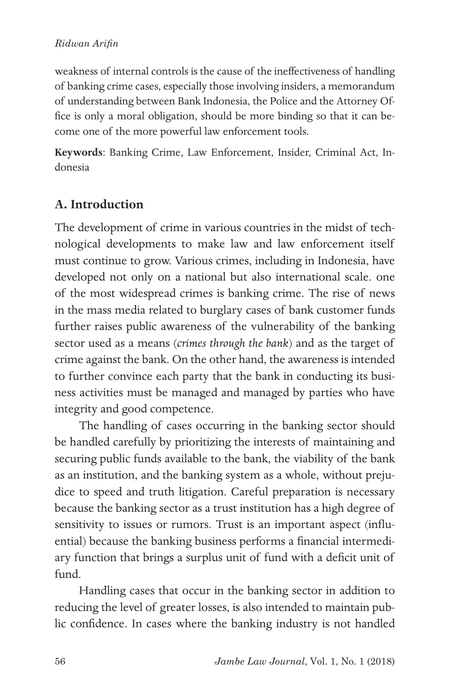### *Ridwan Arifin*

weakness of internal controls is the cause of the ineffectiveness of handling of banking crime cases, especially those involving insiders, a memorandum of understanding between Bank Indonesia, the Police and the Attorney Office is only a moral obligation, should be more binding so that it can become one of the more powerful law enforcement tools.

**Keywords**: Banking Crime, Law Enforcement, Insider, Criminal Act, Indonesia

## **A. Introduction**

The development of crime in various countries in the midst of technological developments to make law and law enforcement itself must continue to grow. Various crimes, including in Indonesia, have developed not only on a national but also international scale. one of the most widespread crimes is banking crime. The rise of news in the mass media related to burglary cases of bank customer funds further raises public awareness of the vulnerability of the banking sector used as a means (*crimes through the bank*) and as the target of crime against the bank. On the other hand, the awareness is intended to further convince each party that the bank in conducting its business activities must be managed and managed by parties who have integrity and good competence.

The handling of cases occurring in the banking sector should be handled carefully by prioritizing the interests of maintaining and securing public funds available to the bank, the viability of the bank as an institution, and the banking system as a whole, without prejudice to speed and truth litigation. Careful preparation is necessary because the banking sector as a trust institution has a high degree of sensitivity to issues or rumors. Trust is an important aspect (influential) because the banking business performs a financial intermediary function that brings a surplus unit of fund with a deficit unit of fund.

Handling cases that occur in the banking sector in addition to reducing the level of greater losses, is also intended to maintain public confidence. In cases where the banking industry is not handled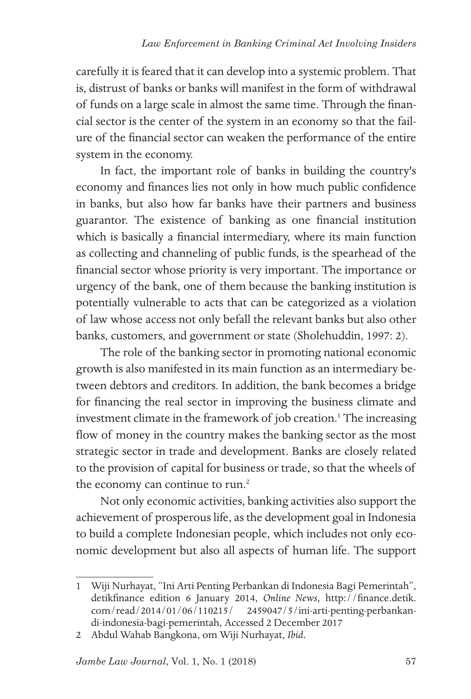carefully it is feared that it can develop into a systemic problem. That is, distrust of banks or banks will manifest in the form of withdrawal of funds on a large scale in almost the same time. Through the financial sector is the center of the system in an economy so that the failure of the financial sector can weaken the performance of the entire system in the economy.

In fact, the important role of banks in building the country's economy and finances lies not only in how much public confidence in banks, but also how far banks have their partners and business guarantor. The existence of banking as one financial institution which is basically a financial intermediary, where its main function as collecting and channeling of public funds, is the spearhead of the financial sector whose priority is very important. The importance or urgency of the bank, one of them because the banking institution is potentially vulnerable to acts that can be categorized as a violation of law whose access not only befall the relevant banks but also other banks, customers, and government or state (Sholehuddin, 1997: 2).

The role of the banking sector in promoting national economic growth is also manifested in its main function as an intermediary between debtors and creditors. In addition, the bank becomes a bridge for financing the real sector in improving the business climate and investment climate in the framework of job creation.<sup>1</sup> The increasing flow of money in the country makes the banking sector as the most strategic sector in trade and development. Banks are closely related to the provision of capital for business or trade, so that the wheels of the economy can continue to run.<sup>2</sup>

Not only economic activities, banking activities also support the achievement of prosperous life, as the development goal in Indonesia to build a complete Indonesian people, which includes not only economic development but also all aspects of human life. The support

<sup>1</sup> Wiji Nurhayat, "Ini Arti Penting Perbankan di Indonesia Bagi Pemerintah", detikfinance edition 6 January 2014, *Online News*, http://finance.detik. com/read/2014/01/06/110215/ 2459047/5/ini-arti-penting-perbankandi-indonesia-bagi-pemerintah, Accessed 2 December 2017

<sup>2</sup> Abdul Wahab Bangkona, om Wiji Nurhayat, *Ibid.*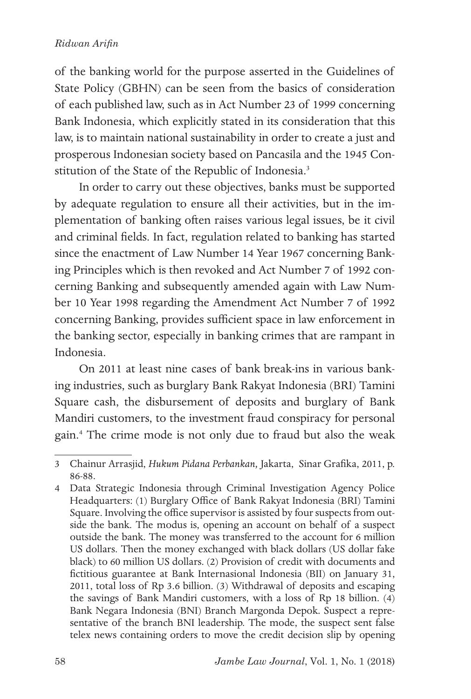#### *Ridwan Arifin*

of the banking world for the purpose asserted in the Guidelines of State Policy (GBHN) can be seen from the basics of consideration of each published law, such as in Act Number 23 of 1999 concerning Bank Indonesia, which explicitly stated in its consideration that this law, is to maintain national sustainability in order to create a just and prosperous Indonesian society based on Pancasila and the 1945 Constitution of the State of the Republic of Indonesia.<sup>3</sup>

In order to carry out these objectives, banks must be supported by adequate regulation to ensure all their activities, but in the implementation of banking often raises various legal issues, be it civil and criminal fields. In fact, regulation related to banking has started since the enactment of Law Number 14 Year 1967 concerning Banking Principles which is then revoked and Act Number 7 of 1992 concerning Banking and subsequently amended again with Law Number 10 Year 1998 regarding the Amendment Act Number 7 of 1992 concerning Banking, provides sufficient space in law enforcement in the banking sector, especially in banking crimes that are rampant in Indonesia.

On 2011 at least nine cases of bank break-ins in various banking industries, such as burglary Bank Rakyat Indonesia (BRI) Tamini Square cash, the disbursement of deposits and burglary of Bank Mandiri customers, to the investment fraud conspiracy for personal gain.4 The crime mode is not only due to fraud but also the weak

<sup>3</sup> Chainur Arrasjid, *Hukum Pidana Perbankan,* Jakarta, Sinar Grafika, 2011, p. 86-88.

<sup>4</sup> Data Strategic Indonesia through Criminal Investigation Agency Police Headquarters: (1) Burglary Office of Bank Rakyat Indonesia (BRI) Tamini Square. Involving the office supervisor is assisted by four suspects from outside the bank. The modus is, opening an account on behalf of a suspect outside the bank. The money was transferred to the account for 6 million US dollars. Then the money exchanged with black dollars (US dollar fake black) to 60 million US dollars. (2) Provision of credit with documents and fictitious guarantee at Bank Internasional Indonesia (BII) on January 31, 2011, total loss of Rp 3.6 billion. (3) Withdrawal of deposits and escaping the savings of Bank Mandiri customers, with a loss of Rp 18 billion. (4) Bank Negara Indonesia (BNI) Branch Margonda Depok. Suspect a representative of the branch BNI leadership. The mode, the suspect sent false telex news containing orders to move the credit decision slip by opening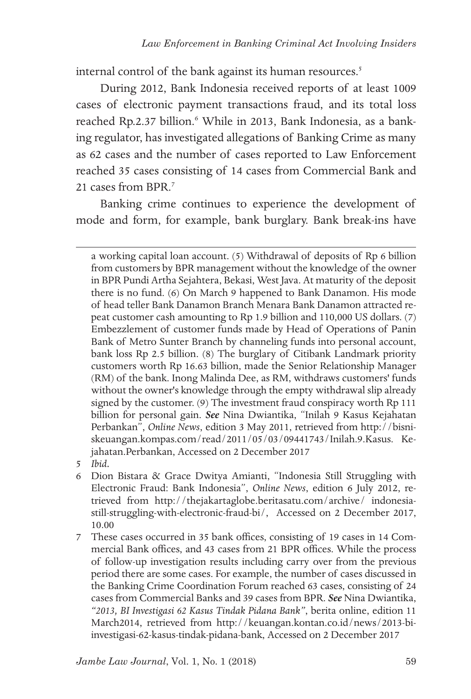internal control of the bank against its human resources.<sup>5</sup>

During 2012, Bank Indonesia received reports of at least 1009 cases of electronic payment transactions fraud, and its total loss reached Rp.2.37 billion.<sup>6</sup> While in 2013, Bank Indonesia, as a banking regulator, has investigated allegations of Banking Crime as many as 62 cases and the number of cases reported to Law Enforcement reached 35 cases consisting of 14 cases from Commercial Bank and 21 cases from BPR.7

Banking crime continues to experience the development of mode and form, for example, bank burglary. Bank break-ins have

a working capital loan account. (5) Withdrawal of deposits of Rp 6 billion from customers by BPR management without the knowledge of the owner in BPR Pundi Artha Sejahtera, Bekasi, West Java. At maturity of the deposit there is no fund. (6) On March 9 happened to Bank Danamon. His mode of head teller Bank Danamon Branch Menara Bank Danamon attracted repeat customer cash amounting to Rp 1.9 billion and 110,000 US dollars. (7) Embezzlement of customer funds made by Head of Operations of Panin Bank of Metro Sunter Branch by channeling funds into personal account, bank loss Rp 2.5 billion. (8) The burglary of Citibank Landmark priority customers worth Rp 16.63 billion, made the Senior Relationship Manager (RM) of the bank. Inong Malinda Dee, as RM, withdraws customers' funds without the owner's knowledge through the empty withdrawal slip already signed by the customer. (9) The investment fraud conspiracy worth Rp 111 billion for personal gain. *See* Nina Dwiantika, "Inilah 9 Kasus Kejahatan Perbankan", *Online News*, edition 3 May 2011, retrieved from http://bisniskeuangan.kompas.com/read/2011/05/03/09441743/Inilah.9.Kasus. Kejahatan.Perbankan, Accessed on 2 December 2017

5 *Ibid.*

- 6 Dion Bistara & Grace Dwitya Amianti, "Indonesia Still Struggling with Electronic Fraud: Bank Indonesia", *Online News*, edition 6 July 2012, retrieved from http://thejakartaglobe.beritasatu.com/archive/ indonesiastill-struggling-with-electronic-fraud-bi/, Accessed on 2 December 2017, 10.00
- 7 These cases occurred in 35 bank offices, consisting of 19 cases in 14 Commercial Bank offices, and 43 cases from 21 BPR offices. While the process of follow-up investigation results including carry over from the previous period there are some cases. For example, the number of cases discussed in the Banking Crime Coordination Forum reached 63 cases, consisting of 24 cases from Commercial Banks and 39 cases from BPR. *See* Nina Dwiantika, *"2013, BI Investigasi 62 Kasus Tindak Pidana Bank"*, berita online, edition 11 March2014, retrieved from http://keuangan.kontan.co.id/news/2013-biinvestigasi-62-kasus-tindak-pidana-bank, Accessed on 2 December 2017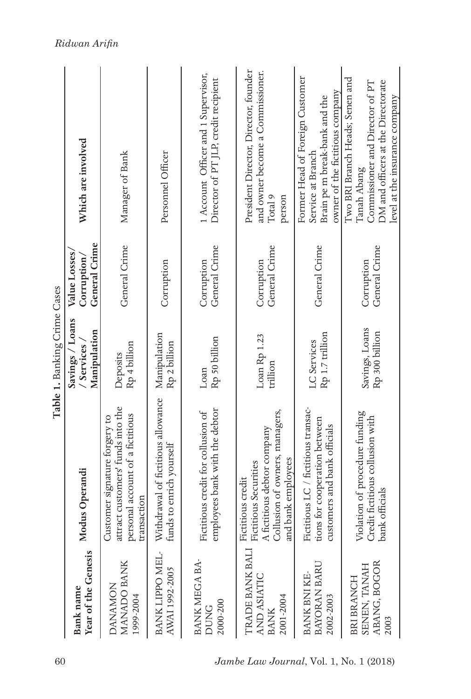|                                                           |                                                                                                                                          | Table 1. Banking Crime Cases                    |                                               |                                                                                                                                                           |
|-----------------------------------------------------------|------------------------------------------------------------------------------------------------------------------------------------------|-------------------------------------------------|-----------------------------------------------|-----------------------------------------------------------------------------------------------------------------------------------------------------------|
| Year of the Genesis<br><b>Bank</b> name                   | Modus Operandi                                                                                                                           | Savings / Loans<br>Manipulation<br>/ Services / | General Crime<br>Value Losses.<br>Corruption/ | Which are involved                                                                                                                                        |
| MANADO BANK<br><b>NOMANDA</b><br>1999-2004                | attract customers' funds into the<br>personal account of a fictitious<br>Customer signature forgery to<br>transaction                    | Rp 4 billion<br>Deposits                        | General Crime                                 | Manager of Bank                                                                                                                                           |
| BANK LIPPO MEL-<br>AWAI 1992-2005                         | Withdrawal of fictitious allowance<br>funds to enrich yourself                                                                           | Manipulation<br>Rp 2 billion                    | Corruption                                    | Personnel Officer                                                                                                                                         |
| BANK MEGA BA-<br>2000-200<br><b>DUNG</b>                  | employees bank with the debtor<br>Fictitious credit for collusion of                                                                     | Rp 50 billion<br>Loan                           | General Crime<br>Corruption                   | 1 Account Officer and 1 Supervisor,<br>Director of PT JLP, credit recipient                                                                               |
| TRADE BANK BAL<br>AND ASIATIC<br>2001-2004<br><b>BANK</b> | Collusion of owners, managers,<br>A fictitious debtor company<br>and bank employees<br><b>Fictitious Securities</b><br>Fictitious credit | Loan Rp 1.23<br>trillion                        | General Crime<br>Corruption                   | President Director, Director, founder<br>and owner become a Commissioner.<br>Total 9<br>person                                                            |
| BAYORAN BARU<br>BANK BNI KE<br>2002-2003                  | Fictitious LC / fictitious transac-<br>tions for cooperation between<br>customers and bank officials                                     | Rp 1.7 trillion<br>LC Services                  | General Crime                                 | Former Head of Foreign Customer<br>owner of the fictitious company<br>Brain pe m break-bank and the<br>Service at Branch                                  |
| ABANG, BOGOR<br>SENEN, TANAH<br>BRI BRANCH<br>2003        | Violation of procedure funding<br>Credit fictitious collusion with<br>bank officials                                                     | Savings, Loans<br>Rp 300 billion                | General Crime<br>Corruption                   | Two BRI Branch Heads; Senen and<br>Commissioner and Director of PT<br>DM and officers at the Directorate<br>level at the insurance company<br>Tanah Abang |

### *Ridwan Arifin*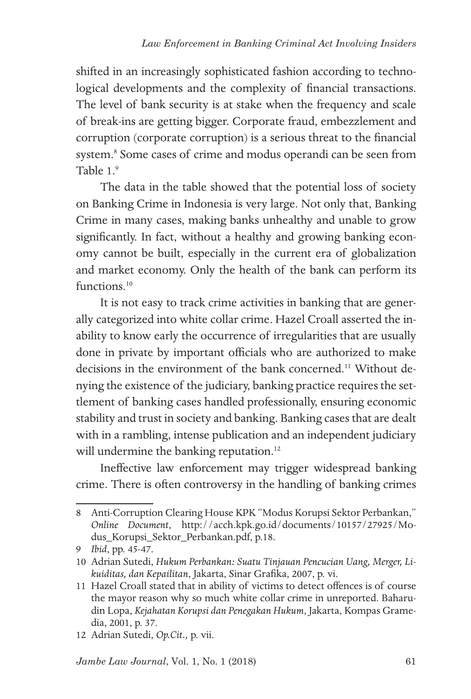shifted in an increasingly sophisticated fashion according to technological developments and the complexity of financial transactions. The level of bank security is at stake when the frequency and scale of break-ins are getting bigger. Corporate fraud, embezzlement and corruption (corporate corruption) is a serious threat to the financial system.<sup>8</sup> Some cases of crime and modus operandi can be seen from Table 1<sup>9</sup>

The data in the table showed that the potential loss of society on Banking Crime in Indonesia is very large. Not only that, Banking Crime in many cases, making banks unhealthy and unable to grow significantly. In fact, without a healthy and growing banking economy cannot be built, especially in the current era of globalization and market economy. Only the health of the bank can perform its functions.<sup>10</sup>

It is not easy to track crime activities in banking that are generally categorized into white collar crime. Hazel Croall asserted the inability to know early the occurrence of irregularities that are usually done in private by important officials who are authorized to make decisions in the environment of the bank concerned.<sup>11</sup> Without denying the existence of the judiciary, banking practice requires the settlement of banking cases handled professionally, ensuring economic stability and trust in society and banking. Banking cases that are dealt with in a rambling, intense publication and an independent judiciary will undermine the banking reputation.<sup>12</sup>

Ineffective law enforcement may trigger widespread banking crime. There is often controversy in the handling of banking crimes

<sup>8</sup> Anti-Corruption Clearing House KPK "Modus Korupsi Sektor Perbankan," *Online Document*, http://acch.kpk.go.id/documents/10157/27925/Modus\_Korupsi\_Sektor\_Perbankan.pdf, p.18.

<sup>9</sup> *Ibid*, pp. 45-47.

<sup>10</sup> Adrian Sutedi, *Hukum Perbankan: Suatu Tinjauan Pencucian Uang, Merger, Likuiditas, dan Kepailitan*, Jakarta, Sinar Grafika, 2007, p. vi.

<sup>11</sup> Hazel Croall stated that in ability of victims to detect offences is of course the mayor reason why so much white collar crime in unreported. Baharudin Lopa, *Kejahatan Korupsi dan Penegakan Hukum*, Jakarta, Kompas Gramedia, 2001, p. 37.

<sup>12</sup> Adrian Sutedi, *Op.Cit.,* p. vii.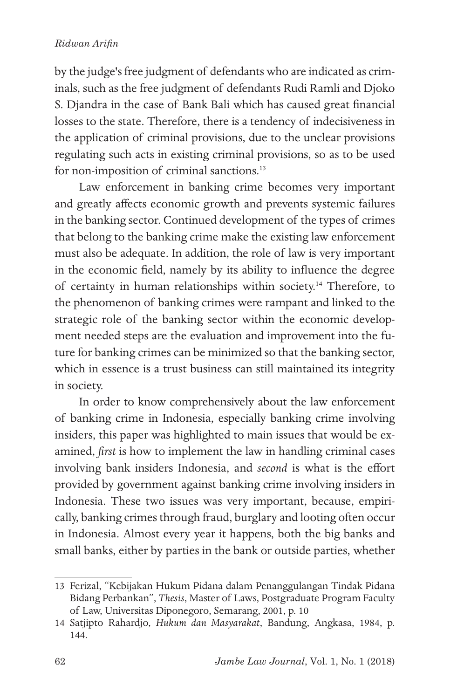#### *Ridwan Arifin*

by the judge's free judgment of defendants who are indicated as criminals, such as the free judgment of defendants Rudi Ramli and Djoko S. Djandra in the case of Bank Bali which has caused great financial losses to the state. Therefore, there is a tendency of indecisiveness in the application of criminal provisions, due to the unclear provisions regulating such acts in existing criminal provisions, so as to be used for non-imposition of criminal sanctions.<sup>13</sup>

Law enforcement in banking crime becomes very important and greatly affects economic growth and prevents systemic failures in the banking sector. Continued development of the types of crimes that belong to the banking crime make the existing law enforcement must also be adequate. In addition, the role of law is very important in the economic field, namely by its ability to influence the degree of certainty in human relationships within society.<sup>14</sup> Therefore, to the phenomenon of banking crimes were rampant and linked to the strategic role of the banking sector within the economic development needed steps are the evaluation and improvement into the future for banking crimes can be minimized so that the banking sector, which in essence is a trust business can still maintained its integrity in society.

In order to know comprehensively about the law enforcement of banking crime in Indonesia, especially banking crime involving insiders, this paper was highlighted to main issues that would be examined, *first* is how to implement the law in handling criminal cases involving bank insiders Indonesia, and *second* is what is the effort provided by government against banking crime involving insiders in Indonesia. These two issues was very important, because, empirically, banking crimes through fraud, burglary and looting often occur in Indonesia. Almost every year it happens, both the big banks and small banks, either by parties in the bank or outside parties, whether

<sup>13</sup> Ferizal, "Kebijakan Hukum Pidana dalam Penanggulangan Tindak Pidana Bidang Perbankan", *Thesis*, Master of Laws, Postgraduate Program Faculty of Law, Universitas Diponegoro, Semarang, 2001, p. 10

<sup>14</sup> Satjipto Rahardjo, *Hukum dan Masyarakat*, Bandung, Angkasa, 1984, p. 144.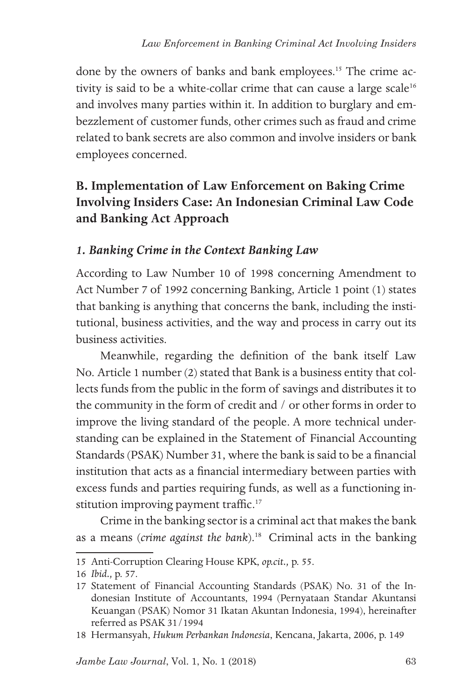done by the owners of banks and bank employees.<sup>15</sup> The crime activity is said to be a white-collar crime that can cause a large scale<sup>16</sup> and involves many parties within it. In addition to burglary and embezzlement of customer funds, other crimes such as fraud and crime related to bank secrets are also common and involve insiders or bank employees concerned.

## **B. Implementation of Law Enforcement on Baking Crime Involving Insiders Case: An Indonesian Criminal Law Code and Banking Act Approach**

### *1. Banking Crime in the Context Banking Law*

According to Law Number 10 of 1998 concerning Amendment to Act Number 7 of 1992 concerning Banking, Article 1 point (1) states that banking is anything that concerns the bank, including the institutional, business activities, and the way and process in carry out its business activities.

Meanwhile, regarding the definition of the bank itself Law No. Article 1 number (2) stated that Bank is a business entity that collects funds from the public in the form of savings and distributes it to the community in the form of credit and / or other forms in order to improve the living standard of the people. A more technical understanding can be explained in the Statement of Financial Accounting Standards (PSAK) Number 31, where the bank is said to be a financial institution that acts as a financial intermediary between parties with excess funds and parties requiring funds, as well as a functioning institution improving payment traffic.<sup>17</sup>

Crime in the banking sector is a criminal act that makes the bank as a means (*crime against the bank*).18 Criminal acts in the banking

<sup>15</sup> Anti-Corruption Clearing House KPK, *op.cit.,* p. 55.

<sup>16</sup> *Ibid.,* p. 57.

<sup>17</sup> Statement of Financial Accounting Standards (PSAK) No. 31 of the Indonesian Institute of Accountants, 1994 (Pernyataan Standar Akuntansi Keuangan (PSAK) Nomor 31 Ikatan Akuntan Indonesia, 1994), hereinafter referred as PSAK 31/1994

<sup>18</sup> Hermansyah, *Hukum Perbankan Indonesia*, Kencana, Jakarta, 2006, p. 149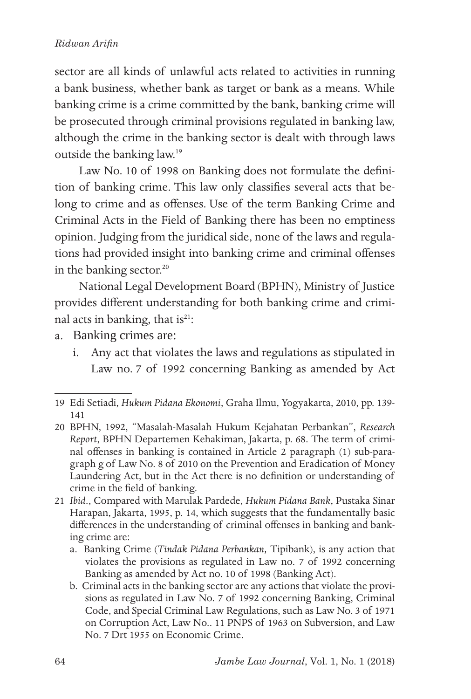### *Ridwan Arifin*

sector are all kinds of unlawful acts related to activities in running a bank business, whether bank as target or bank as a means. While banking crime is a crime committed by the bank, banking crime will be prosecuted through criminal provisions regulated in banking law, although the crime in the banking sector is dealt with through laws outside the banking law.19

Law No. 10 of 1998 on Banking does not formulate the definition of banking crime. This law only classifies several acts that belong to crime and as offenses. Use of the term Banking Crime and Criminal Acts in the Field of Banking there has been no emptiness opinion. Judging from the juridical side, none of the laws and regulations had provided insight into banking crime and criminal offenses in the banking sector.<sup>20</sup>

National Legal Development Board (BPHN), Ministry of Justice provides different understanding for both banking crime and criminal acts in banking, that is<sup>21</sup>:

- a. Banking crimes are:
	- i. Any act that violates the laws and regulations as stipulated in Law no. 7 of 1992 concerning Banking as amended by Act

- 20 BPHN, 1992, "Masalah-Masalah Hukum Kejahatan Perbankan", *Research Report*, BPHN Departemen Kehakiman, Jakarta, p. 68. The term of criminal offenses in banking is contained in Article 2 paragraph (1) sub-paragraph g of Law No. 8 of 2010 on the Prevention and Eradication of Money Laundering Act, but in the Act there is no definition or understanding of crime in the field of banking.
- 21 *Ibid*., Compared with Marulak Pardede, *Hukum Pidana Bank*, Pustaka Sinar Harapan, Jakarta, 1995, p. 14, which suggests that the fundamentally basic differences in the understanding of criminal offenses in banking and banking crime are:
	- a. Banking Crime (*Tindak Pidana Perbankan,* Tipibank), is any action that violates the provisions as regulated in Law no. 7 of 1992 concerning Banking as amended by Act no. 10 of 1998 (Banking Act).
	- b. Criminal acts in the banking sector are any actions that violate the provisions as regulated in Law No. 7 of 1992 concerning Banking, Criminal Code, and Special Criminal Law Regulations, such as Law No. 3 of 1971 on Corruption Act, Law No.. 11 PNPS of 1963 on Subversion, and Law No. 7 Drt 1955 on Economic Crime.

<sup>19</sup> Edi Setiadi, *Hukum Pidana Ekonomi*, Graha Ilmu, Yogyakarta, 2010, pp. 139- 141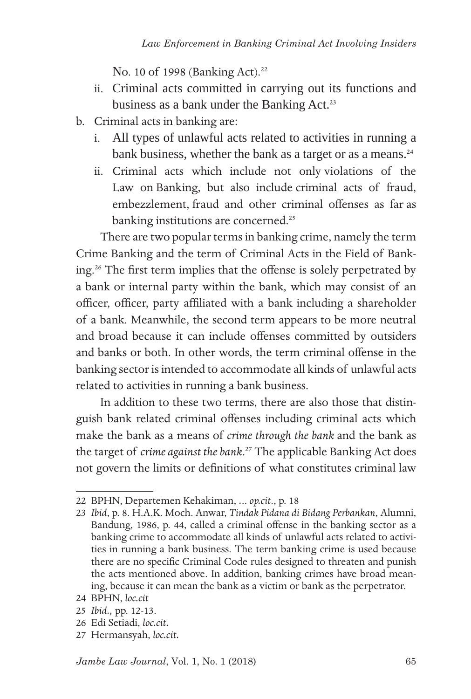No. 10 of 1998 (Banking Act).<sup>22</sup>

- ii. Criminal acts committed in carrying out its functions and business as a bank under the Banking Act.<sup>23</sup>
- b. Criminal acts in banking are:
	- i. All types of unlawful acts related to activities in running a bank business, whether the bank as a target or as a means.<sup>24</sup>
	- ii. Criminal acts which include not only violations of the Law on Banking, but also include criminal acts of fraud, embezzlement, fraud and other criminal offenses as far as banking institutions are concerned.<sup>25</sup>

There are two popular terms in banking crime, namely the term Crime Banking and the term of Criminal Acts in the Field of Banking.26 The first term implies that the offense is solely perpetrated by a bank or internal party within the bank, which may consist of an officer, officer, party affiliated with a bank including a shareholder of a bank. Meanwhile, the second term appears to be more neutral and broad because it can include offenses committed by outsiders and banks or both. In other words, the term criminal offense in the banking sector is intended to accommodate all kinds of unlawful acts related to activities in running a bank business.

In addition to these two terms, there are also those that distinguish bank related criminal offenses including criminal acts which make the bank as a means of *crime through the bank* and the bank as the target of *crime against the bank*. 27 The applicable Banking Act does not govern the limits or definitions of what constitutes criminal law

- 25 *Ibid.,* pp. 12-13.
- 26 Edi Setiadi, *loc.cit.*
- 27 Hermansyah, *loc.cit.*

<sup>22</sup> BPHN, Departemen Kehakiman, *.*.. *op.cit*., p. 18

<sup>23</sup> *Ibid*, p. 8. H.A.K. Moch. Anwar, *Tindak Pidana di Bidang Perbankan*, Alumni, Bandung, 1986, p. 44, called a criminal offense in the banking sector as a banking crime to accommodate all kinds of unlawful acts related to activities in running a bank business. The term banking crime is used because there are no specific Criminal Code rules designed to threaten and punish the acts mentioned above. In addition, banking crimes have broad meaning, because it can mean the bank as a victim or bank as the perpetrator.

<sup>24</sup> BPHN, *loc.cit*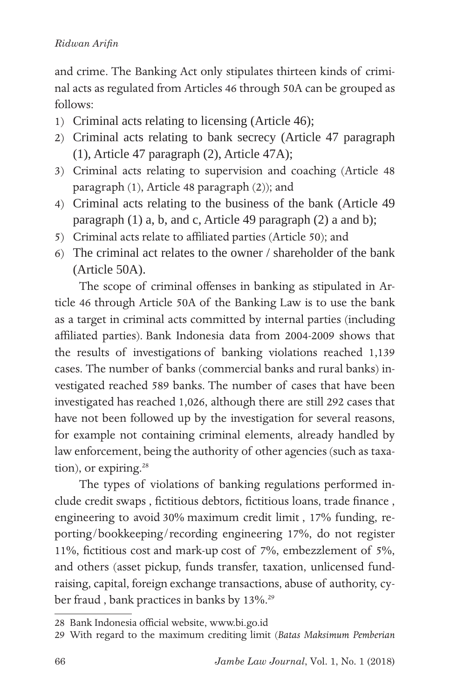and crime. The Banking Act only stipulates thirteen kinds of criminal acts as regulated from Articles 46 through 50A can be grouped as follows:

- 1) Criminal acts relating to licensing (Article 46);
- 2) Criminal acts relating to bank secrecy (Article 47 paragraph (1), Article 47 paragraph (2), Article 47A);
- 3) Criminal acts relating to supervision and coaching (Article 48 paragraph (1), Article 48 paragraph (2)); and
- 4) Criminal acts relating to the business of the bank (Article 49 paragraph (1) a, b, and c, Article 49 paragraph (2) a and b);
- 5) Criminal acts relate to affiliated parties (Article 50); and
- 6) The criminal act relates to the owner / shareholder of the bank (Article 50A).

The scope of criminal offenses in banking as stipulated in Article 46 through Article 50A of the Banking Law is to use the bank as a target in criminal acts committed by internal parties (including affiliated parties). Bank Indonesia data from 2004-2009 shows that the results of investigations of banking violations reached 1,139 cases. The number of banks (commercial banks and rural banks) investigated reached 589 banks. The number of cases that have been investigated has reached 1,026, although there are still 292 cases that have not been followed up by the investigation for several reasons, for example not containing criminal elements, already handled by law enforcement, being the authority of other agencies (such as taxation), or expiring. $28$ 

The types of violations of banking regulations performed include credit swaps , fictitious debtors, fictitious loans, trade finance , engineering to avoid 30% maximum credit limit , 17% funding, reporting/bookkeeping/recording engineering 17%, do not register 11%, fictitious cost and mark-up cost of 7%, embezzlement of 5%, and others (asset pickup, funds transfer, taxation, unlicensed fundraising, capital, foreign exchange transactions, abuse of authority, cyber fraud , bank practices in banks by 13%.29

<sup>28</sup> Bank Indonesia official website, www.bi.go.id

<sup>29</sup> With regard to the maximum crediting limit (*Batas Maksimum Pemberian*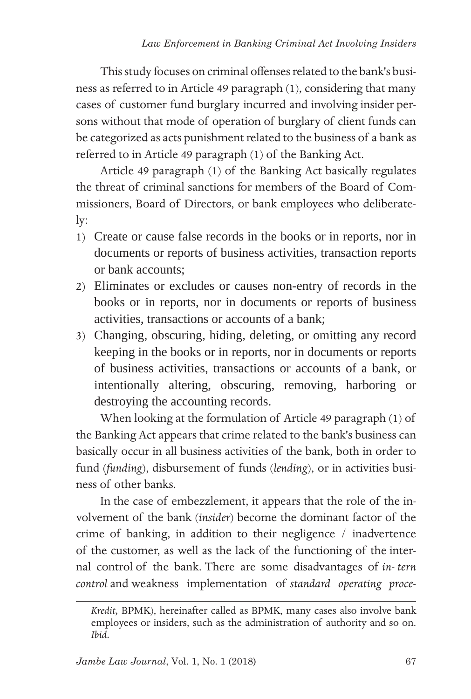This study focuses on criminal offenses related to the bank's business as referred to in Article 49 paragraph (1), considering that many cases of customer fund burglary incurred and involving insider persons without that mode of operation of burglary of client funds can be categorized as acts punishment related to the business of a bank as referred to in Article 49 paragraph (1) of the Banking Act.

Article 49 paragraph (1) of the Banking Act basically regulates the threat of criminal sanctions for members of the Board of Commissioners, Board of Directors, or bank employees who deliberately:

- 1) Create or cause false records in the books or in reports, nor in documents or reports of business activities, transaction reports or bank accounts;
- 2) Eliminates or excludes or causes non-entry of records in the books or in reports, nor in documents or reports of business activities, transactions or accounts of a bank;
- 3) Changing, obscuring, hiding, deleting, or omitting any record keeping in the books or in reports, nor in documents or reports of business activities, transactions or accounts of a bank, or intentionally altering, obscuring, removing, harboring or destroying the accounting records.

When looking at the formulation of Article 49 paragraph (1) of the Banking Act appears that crime related to the bank's business can basically occur in all business activities of the bank, both in order to fund (*funding*), disbursement of funds (*lending*), or in activities business of other banks.

In the case of embezzlement, it appears that the role of the involvement of the bank (*insider*) become the dominant factor of the crime of banking, in addition to their negligence / inadvertence of the customer, as well as the lack of the functioning of the internal control of the bank. There are some disadvantages of *in- tern control* and weakness implementation of *standard operating proce-*

*Kredit,* BPMK), hereinafter called as BPMK, many cases also involve bank employees or insiders, such as the administration of authority and so on. *Ibid.*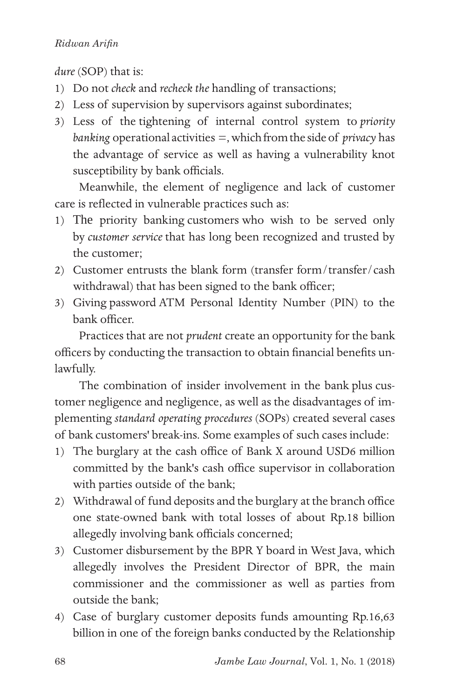dure *(SOP)* that is:

- 1) Do not *check* and *recheck the* handling of transactions;
- 2) Less of supervision by supervisors against subordinates;
- 3) Less of the tightening of internal control system to *priority banking* operational activities =, which from the side of *privacy* has the advantage of service as well as having a vulnerability knot susceptibility by bank officials.

Meanwhile, the element of negligence and lack of customer care is reflected in vulnerable practices such as:

- 1) The priority banking customers who wish to be served only by *customer service* that has long been recognized and trusted by the customer;
- 2) Customer entrusts the blank form (transfer form/transfer/cash withdrawal) that has been signed to the bank officer;
- 3) Giving password ATM Personal Identity Number (PIN) to the bank officer.

Practices that are not *prudent* create an opportunity for the bank officers by conducting the transaction to obtain financial benefits unlawfully.

The combination of insider involvement in the bank plus customer negligence and negligence, as well as the disadvantages of implementing *standard operating procedures* (SOPs) created several cases of bank customers' break-ins. Some examples of such cases include:

- 1) The burglary at the cash office of Bank X around USD6 million committed by the bank's cash office supervisor in collaboration with parties outside of the bank;
- 2) Withdrawal of fund deposits and the burglary at the branch office one state-owned bank with total losses of about Rp.18 billion allegedly involving bank officials concerned;
- 3) Customer disbursement by the BPR Y board in West Java, which allegedly involves the President Director of BPR, the main commissioner and the commissioner as well as parties from outside the bank;
- 4) Case of burglary customer deposits funds amounting Rp.16,63 billion in one of the foreign banks conducted by the Relationship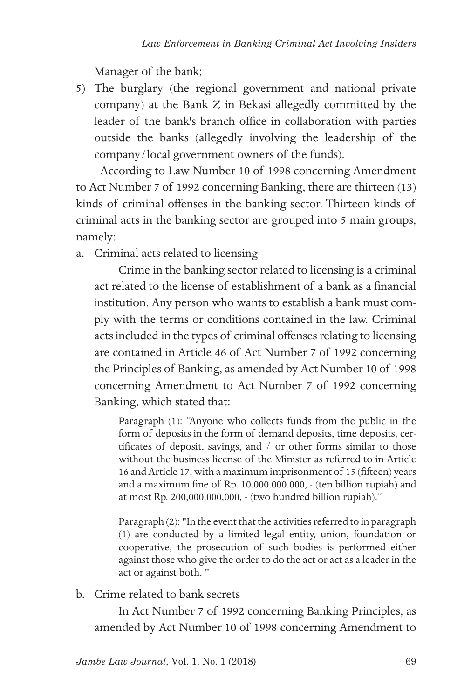Manager of the bank;

5) The burglary (the regional government and national private company) at the Bank Z in Bekasi allegedly committed by the leader of the bank's branch office in collaboration with parties outside the banks (allegedly involving the leadership of the company/local government owners of the funds).

According to Law Number 10 of 1998 concerning Amendment to Act Number 7 of 1992 concerning Banking, there are thirteen (13) kinds of criminal offenses in the banking sector. Thirteen kinds of criminal acts in the banking sector are grouped into 5 main groups, namely:

a. Criminal acts related to licensing

Crime in the banking sector related to licensing is a criminal act related to the license of establishment of a bank as a financial institution. Any person who wants to establish a bank must comply with the terms or conditions contained in the law. Criminal acts included in the types of criminal offenses relating to licensing are contained in Article 46 of Act Number 7 of 1992 concerning the Principles of Banking, as amended by Act Number 10 of 1998 concerning Amendment to Act Number 7 of 1992 concerning Banking, which stated that:

Paragraph (1): "Anyone who collects funds from the public in the form of deposits in the form of demand deposits, time deposits, certificates of deposit, savings, and / or other forms similar to those without the business license of the Minister as referred to in Article 16 and Article 17, with a maximum imprisonment of 15 (fifteen) years and a maximum fine of Rp. 10.000.000.000, - (ten billion rupiah) and at most Rp. 200,000,000,000, - (two hundred billion rupiah)."

Paragraph (2): "In the event that the activities referred to in paragraph (1) are conducted by a limited legal entity, union, foundation or cooperative, the prosecution of such bodies is performed either against those who give the order to do the act or act as a leader in the act or against both. "

b. Crime related to bank secrets

In Act Number 7 of 1992 concerning Banking Principles, as amended by Act Number 10 of 1998 concerning Amendment to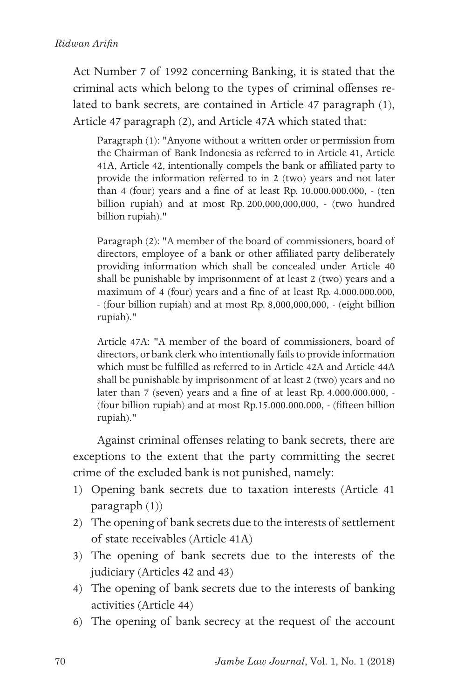Act Number 7 of 1992 concerning Banking, it is stated that the criminal acts which belong to the types of criminal offenses related to bank secrets, are contained in Article 47 paragraph (1), Article 47 paragraph (2), and Article 47A which stated that:

Paragraph (1): "Anyone without a written order or permission from the Chairman of Bank Indonesia as referred to in Article 41, Article 41A, Article 42, intentionally compels the bank or affiliated party to provide the information referred to in 2 (two) years and not later than 4 (four) years and a fine of at least Rp. 10.000.000.000, - (ten billion rupiah) and at most Rp. 200,000,000,000, - (two hundred billion rupiah)."

Paragraph (2): "A member of the board of commissioners, board of directors, employee of a bank or other affiliated party deliberately providing information which shall be concealed under Article 40 shall be punishable by imprisonment of at least 2 (two) years and a maximum of 4 (four) years and a fine of at least Rp. 4.000.000.000, - (four billion rupiah) and at most Rp. 8,000,000,000, - (eight billion rupiah)."

Article 47A: "A member of the board of commissioners, board of directors, or bank clerk who intentionally fails to provide information which must be fulfilled as referred to in Article 42A and Article 44A shall be punishable by imprisonment of at least 2 (two) years and no later than 7 (seven) years and a fine of at least Rp. 4.000.000.000, - (four billion rupiah) and at most Rp.15.000.000.000, - (fifteen billion rupiah)."

Against criminal offenses relating to bank secrets, there are exceptions to the extent that the party committing the secret crime of the excluded bank is not punished, namely:

- 1) Opening bank secrets due to taxation interests (Article 41 paragraph (1))
- 2) The opening of bank secrets due to the interests of settlement of state receivables (Article 41A)
- 3) The opening of bank secrets due to the interests of the judiciary (Articles 42 and 43)
- 4) The opening of bank secrets due to the interests of banking activities (Article 44)
- 6) The opening of bank secrecy at the request of the account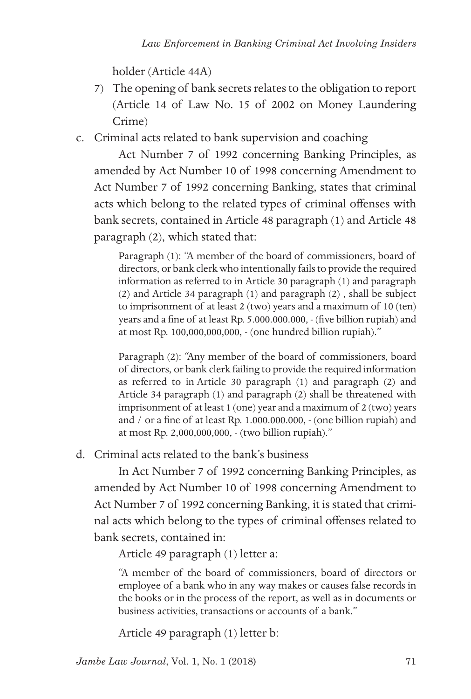holder (Article 44A)

- 7) The opening of bank secrets relates to the obligation to report (Article 14 of Law No. 15 of 2002 on Money Laundering Crime)
- c. Criminal acts related to bank supervision and coaching

Act Number 7 of 1992 concerning Banking Principles, as amended by Act Number 10 of 1998 concerning Amendment to Act Number 7 of 1992 concerning Banking, states that criminal acts which belong to the related types of criminal offenses with bank secrets, contained in Article 48 paragraph (1) and Article 48 paragraph (2), which stated that:

Paragraph (1): "A member of the board of commissioners, board of directors, or bank clerk who intentionally fails to provide the required information as referred to in Article 30 paragraph (1) and paragraph (2) and Article 34 paragraph (1) and paragraph (2) , shall be subject to imprisonment of at least 2 (two) years and a maximum of 10 (ten) years and a fine of at least Rp. 5.000.000.000, - (five billion rupiah) and at most Rp. 100,000,000,000, - (one hundred billion rupiah)."

Paragraph (2): "Any member of the board of commissioners, board of directors, or bank clerk failing to provide the required information as referred to in Article 30 paragraph (1) and paragraph (2) and Article 34 paragraph (1) and paragraph (2) shall be threatened with imprisonment of at least 1 (one) year and a maximum of 2 (two) years and / or a fine of at least Rp. 1.000.000.000, - (one billion rupiah) and at most Rp. 2,000,000,000, - (two billion rupiah)."

d. Criminal acts related to the bank's business

In Act Number 7 of 1992 concerning Banking Principles, as amended by Act Number 10 of 1998 concerning Amendment to Act Number 7 of 1992 concerning Banking, it is stated that criminal acts which belong to the types of criminal offenses related to bank secrets, contained in:

Article 49 paragraph (1) letter a:

"A member of the board of commissioners, board of directors or employee of a bank who in any way makes or causes false records in the books or in the process of the report, as well as in documents or business activities, transactions or accounts of a bank."

Article 49 paragraph (1) letter b:

*Jambe Law Journal*, Vol. 1, No. 1 (2018)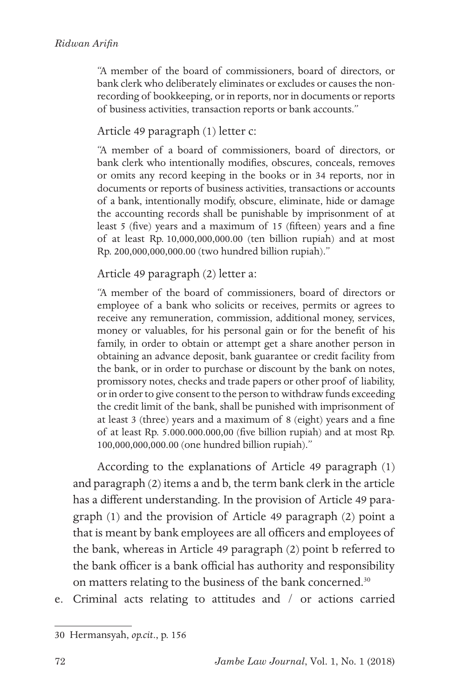"A member of the board of commissioners, board of directors, or bank clerk who deliberately eliminates or excludes or causes the nonrecording of bookkeeping, or in reports, nor in documents or reports of business activities, transaction reports or bank accounts."

#### Article 49 paragraph (1) letter c:

"A member of a board of commissioners, board of directors, or bank clerk who intentionally modifies, obscures, conceals, removes or omits any record keeping in the books or in 34 reports, nor in documents or reports of business activities, transactions or accounts of a bank, intentionally modify, obscure, eliminate, hide or damage the accounting records shall be punishable by imprisonment of at least 5 (five) years and a maximum of 15 (fifteen) years and a fine of at least Rp. 10,000,000,000.00 (ten billion rupiah) and at most Rp. 200,000,000,000.00 (two hundred billion rupiah)."

#### Article 49 paragraph (2) letter a:

"A member of the board of commissioners, board of directors or employee of a bank who solicits or receives, permits or agrees to receive any remuneration, commission, additional money, services, money or valuables, for his personal gain or for the benefit of his family, in order to obtain or attempt get a share another person in obtaining an advance deposit, bank guarantee or credit facility from the bank, or in order to purchase or discount by the bank on notes, promissory notes, checks and trade papers or other proof of liability, or in order to give consent to the person to withdraw funds exceeding the credit limit of the bank, shall be punished with imprisonment of at least 3 (three) years and a maximum of 8 (eight) years and a fine of at least Rp. 5.000.000.000,00 (five billion rupiah) and at most Rp. 100,000,000,000.00 (one hundred billion rupiah)."

According to the explanations of Article 49 paragraph (1) and paragraph (2) items a and b, the term bank clerk in the article has a different understanding. In the provision of Article 49 paragraph (1) and the provision of Article 49 paragraph (2) point a that is meant by bank employees are all officers and employees of the bank, whereas in Article 49 paragraph (2) point b referred to the bank officer is a bank official has authority and responsibility on matters relating to the business of the bank concerned.<sup>30</sup>

e. Criminal acts relating to attitudes and / or actions carried

<sup>30</sup> Hermansyah, *op.cit*., p. 156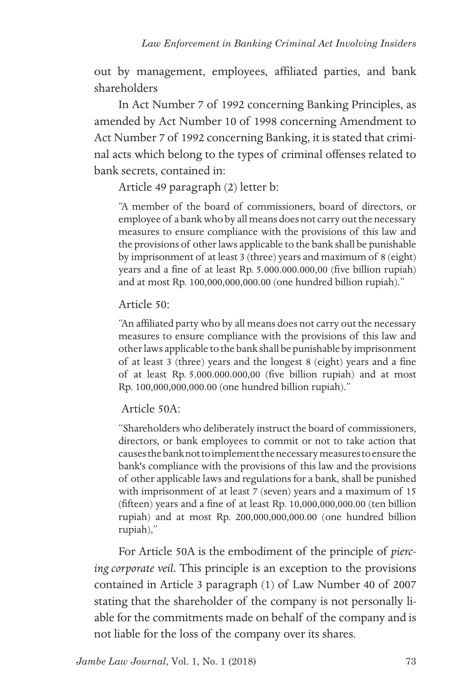out by management, employees, affiliated parties, and bank shareholders

In Act Number 7 of 1992 concerning Banking Principles, as amended by Act Number 10 of 1998 concerning Amendment to Act Number 7 of 1992 concerning Banking, it is stated that criminal acts which belong to the types of criminal offenses related to bank secrets, contained in:

Article 49 paragraph (2) letter b:

"A member of the board of commissioners, board of directors, or employee of a bank who by all means does not carry out the necessary measures to ensure compliance with the provisions of this law and the provisions of other laws applicable to the bank shall be punishable by imprisonment of at least 3 (three) years and maximum of 8 (eight) years and a fine of at least Rp. 5.000.000.000,00 (five billion rupiah) and at most Rp. 100,000,000,000.00 (one hundred billion rupiah)."

#### Article 50:

"An affiliated party who by all means does not carry out the necessary measures to ensure compliance with the provisions of this law and other laws applicable to the bank shall be punishable by imprisonment of at least 3 (three) years and the longest 8 (eight) years and a fine of at least Rp. 5.000.000.000,00 (five billion rupiah) and at most Rp. 100,000,000,000.00 (one hundred billion rupiah)."

### Article 50A:

"Shareholders who deliberately instruct the board of commissioners, directors, or bank employees to commit or not to take action that causes the bank not to implement the necessary measures to ensure the bank's compliance with the provisions of this law and the provisions of other applicable laws and regulations for a bank, shall be punished with imprisonment of at least 7 (seven) years and a maximum of 15 (fifteen) years and a fine of at least Rp. 10,000,000,000.00 (ten billion rupiah) and at most Rp. 200,000,000,000.00 (one hundred billion rupiah),"

For Article 50A is the embodiment of the principle of *piercing corporate veil.* This principle is an exception to the provisions contained in Article 3 paragraph (1) of Law Number 40 of 2007 stating that the shareholder of the company is not personally liable for the commitments made on behalf of the company and is not liable for the loss of the company over its shares.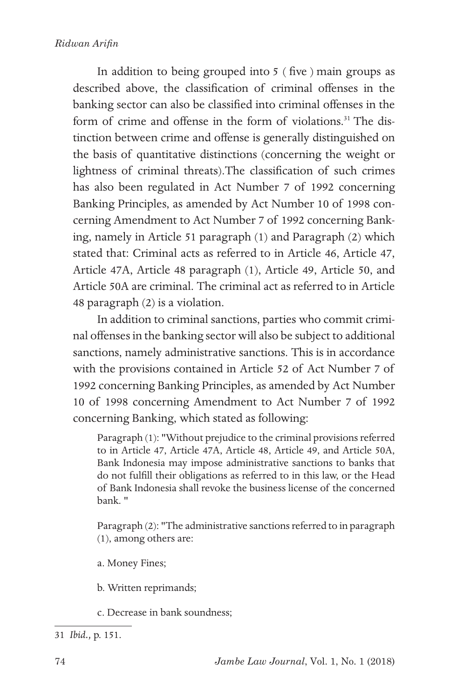In addition to being grouped into 5 ( five ) main groups as described above, the classification of criminal offenses in the banking sector can also be classified into criminal offenses in the form of crime and offense in the form of violations.<sup>31</sup> The distinction between crime and offense is generally distinguished on the basis of quantitative distinctions (concerning the weight or lightness of criminal threats).The classification of such crimes has also been regulated in Act Number 7 of 1992 concerning Banking Principles, as amended by Act Number 10 of 1998 concerning Amendment to Act Number 7 of 1992 concerning Banking, namely in Article 51 paragraph (1) and Paragraph (2) which stated that: Criminal acts as referred to in Article 46, Article 47, Article 47A, Article 48 paragraph (1), Article 49, Article 50, and Article 50A are criminal. The criminal act as referred to in Article 48 paragraph (2) is a violation.

In addition to criminal sanctions, parties who commit criminal offenses in the banking sector will also be subject to additional sanctions, namely administrative sanctions. This is in accordance with the provisions contained in Article 52 of Act Number 7 of 1992 concerning Banking Principles, as amended by Act Number 10 of 1998 concerning Amendment to Act Number 7 of 1992 concerning Banking, which stated as following:

Paragraph (1): "Without prejudice to the criminal provisions referred to in Article 47, Article 47A, Article 48, Article 49, and Article 50A, Bank Indonesia may impose administrative sanctions to banks that do not fulfill their obligations as referred to in this law, or the Head of Bank Indonesia shall revoke the business license of the concerned bank. "

Paragraph (2): "The administrative sanctions referred to in paragraph (1), among others are:

- a. Money Fines;
- b. Written reprimands;
- c. Decrease in bank soundness;

<sup>31</sup> *Ibid.,* p. 151.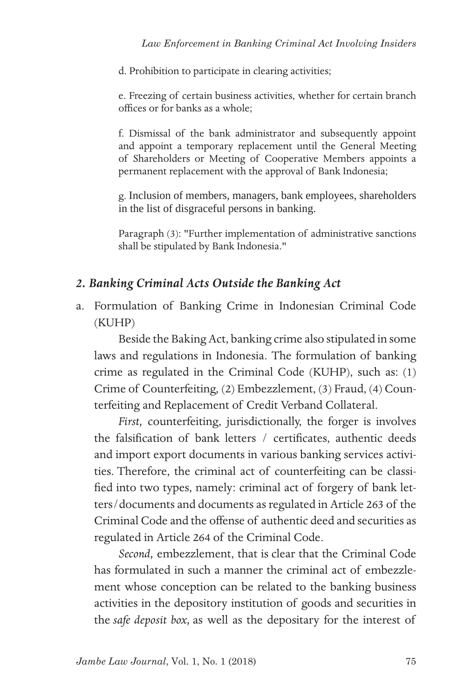d. Prohibition to participate in clearing activities;

e. Freezing of certain business activities, whether for certain branch offices or for banks as a whole;

f. Dismissal of the bank administrator and subsequently appoint and appoint a temporary replacement until the General Meeting of Shareholders or Meeting of Cooperative Members appoints a permanent replacement with the approval of Bank Indonesia;

g. Inclusion of members, managers, bank employees, shareholders in the list of disgraceful persons in banking.

Paragraph (3): "Further implementation of administrative sanctions shall be stipulated by Bank Indonesia."

### *2. Banking Criminal Acts Outside the Banking Act*

a. Formulation of Banking Crime in Indonesian Criminal Code (KUHP)

Beside the Baking Act, banking crime also stipulated in some laws and regulations in Indonesia. The formulation of banking crime as regulated in the Criminal Code (KUHP), such as: (1) Crime of Counterfeiting*,* (2) Embezzlement, (3) Fraud, (4) Counterfeiting and Replacement of Credit Verband Collateral.

*First,* counterfeiting, jurisdictionally, the forger is involves the falsification of bank letters / certificates, authentic deeds and import export documents in various banking services activities. Therefore, the criminal act of counterfeiting can be classified into two types, namely: criminal act of forgery of bank letters/documents and documents as regulated in Article 263 of the Criminal Code and the offense of authentic deed and securities as regulated in Article 264 of the Criminal Code.

*Second,* embezzlement, that is clear that the Criminal Code has formulated in such a manner the criminal act of embezzlement whose conception can be related to the banking business activities in the depository institution of goods and securities in the *safe deposit box,* as well as the depositary for the interest of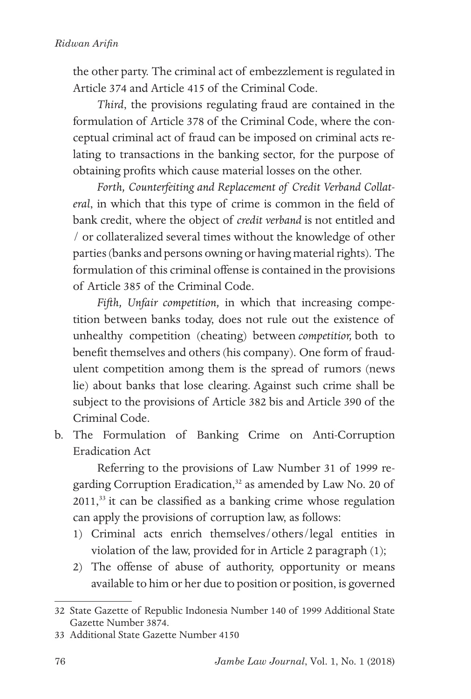the other party. The criminal act of embezzlement is regulated in Article 374 and Article 415 of the Criminal Code.

*Third*, the provisions regulating fraud are contained in the formulation of Article 378 of the Criminal Code, where the conceptual criminal act of fraud can be imposed on criminal acts relating to transactions in the banking sector, for the purpose of obtaining profits which cause material losses on the other.

*Forth, Counterfeiting and Replacement of Credit Verband Collateral*, in which that this type of crime is common in the field of bank credit, where the object of *credit verband* is not entitled and / or collateralized several times without the knowledge of other parties (banks and persons owning or having material rights). The formulation of this criminal offense is contained in the provisions of Article 385 of the Criminal Code.

*Fifth, Unfair competition,* in which that increasing competition between banks today, does not rule out the existence of unhealthy competition (cheating) between *competitior,* both to benefit themselves and others (his company). One form of fraudulent competition among them is the spread of rumors (news lie) about banks that lose clearing. Against such crime shall be subject to the provisions of Article 382 bis and Article 390 of the Criminal Code.

b. The Formulation of Banking Crime on Anti-Corruption Eradication Act

Referring to the provisions of Law Number 31 of 1999 regarding Corruption Eradication,<sup>32</sup> as amended by Law No. 20 of 2011,33 it can be classified as a banking crime whose regulation can apply the provisions of corruption law, as follows:

- 1) Criminal acts enrich themselves/others/legal entities in violation of the law, provided for in Article 2 paragraph (1);
- 2) The offense of abuse of authority, opportunity or means available to him or her due to position or position, is governed

<sup>32</sup> State Gazette of Republic Indonesia Number 140 of 1999 Additional State Gazette Number 3874.

<sup>33</sup> Additional State Gazette Number 4150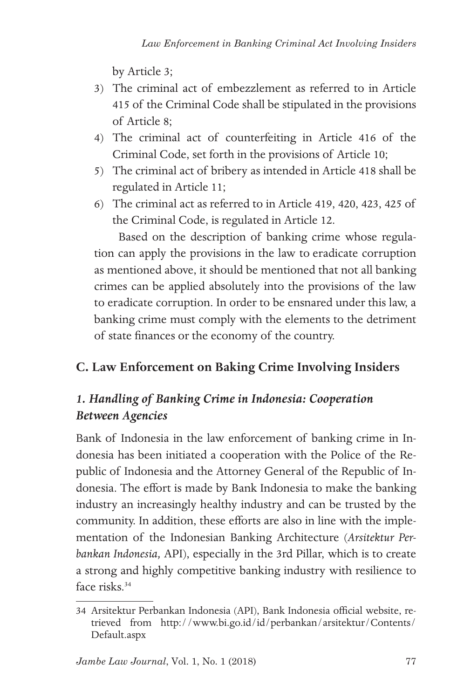by Article 3;

- 3) The criminal act of embezzlement as referred to in Article 415 of the Criminal Code shall be stipulated in the provisions of Article 8;
- 4) The criminal act of counterfeiting in Article 416 of the Criminal Code, set forth in the provisions of Article 10;
- 5) The criminal act of bribery as intended in Article 418 shall be regulated in Article 11;
- 6) The criminal act as referred to in Article 419, 420, 423, 425 of the Criminal Code, is regulated in Article 12.

Based on the description of banking crime whose regulation can apply the provisions in the law to eradicate corruption as mentioned above, it should be mentioned that not all banking crimes can be applied absolutely into the provisions of the law to eradicate corruption. In order to be ensnared under this law, a banking crime must comply with the elements to the detriment of state finances or the economy of the country.

## **C. Law Enforcement on Baking Crime Involving Insiders**

## *1. Handling of Banking Crime in Indonesia: Cooperation Between Agencies*

Bank of Indonesia in the law enforcement of banking crime in Indonesia has been initiated a cooperation with the Police of the Republic of Indonesia and the Attorney General of the Republic of Indonesia. The effort is made by Bank Indonesia to make the banking industry an increasingly healthy industry and can be trusted by the community. In addition, these efforts are also in line with the implementation of the Indonesian Banking Architecture (*Arsitektur Perbankan Indonesia,* API), especially in the 3rd Pillar, which is to create a strong and highly competitive banking industry with resilience to face risks<sup>34</sup>

<sup>34</sup> Arsitektur Perbankan Indonesia (API), Bank Indonesia official website, retrieved from http://www.bi.go.id/id/perbankan/arsitektur/Contents/ Default.aspx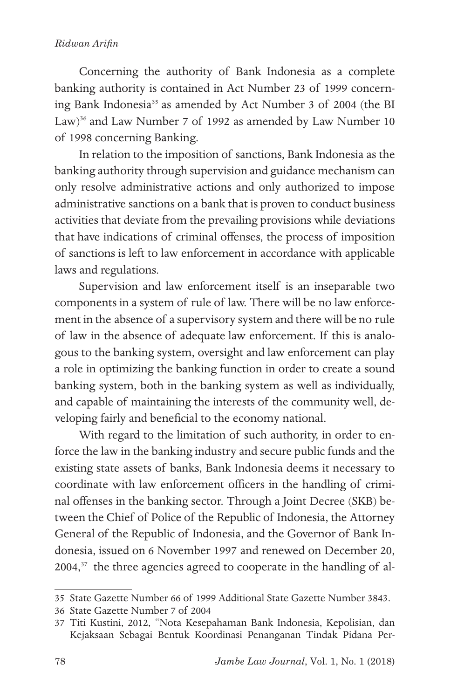#### *Ridwan Arifin*

Concerning the authority of Bank Indonesia as a complete banking authority is contained in Act Number 23 of 1999 concerning Bank Indonesia<sup>35</sup> as amended by Act Number 3 of 2004 (the BI Law)<sup>36</sup> and Law Number 7 of 1992 as amended by Law Number 10 of 1998 concerning Banking.

In relation to the imposition of sanctions, Bank Indonesia as the banking authority through supervision and guidance mechanism can only resolve administrative actions and only authorized to impose administrative sanctions on a bank that is proven to conduct business activities that deviate from the prevailing provisions while deviations that have indications of criminal offenses, the process of imposition of sanctions is left to law enforcement in accordance with applicable laws and regulations.

Supervision and law enforcement itself is an inseparable two components in a system of rule of law. There will be no law enforcement in the absence of a supervisory system and there will be no rule of law in the absence of adequate law enforcement. If this is analogous to the banking system, oversight and law enforcement can play a role in optimizing the banking function in order to create a sound banking system, both in the banking system as well as individually, and capable of maintaining the interests of the community well, developing fairly and beneficial to the economy national.

With regard to the limitation of such authority, in order to enforce the law in the banking industry and secure public funds and the existing state assets of banks, Bank Indonesia deems it necessary to coordinate with law enforcement officers in the handling of criminal offenses in the banking sector. Through a Joint Decree (SKB) between the Chief of Police of the Republic of Indonesia, the Attorney General of the Republic of Indonesia, and the Governor of Bank Indonesia, issued on 6 November 1997 and renewed on December 20, 2004,<sup>37</sup> the three agencies agreed to cooperate in the handling of al-

<sup>35</sup> State Gazette Number 66 of 1999 Additional State Gazette Number 3843.

<sup>36</sup> State Gazette Number 7 of 2004

<sup>37</sup> Titi Kustini, 2012, "Nota Kesepahaman Bank Indonesia, Kepolisian, dan Kejaksaan Sebagai Bentuk Koordinasi Penanganan Tindak Pidana Per-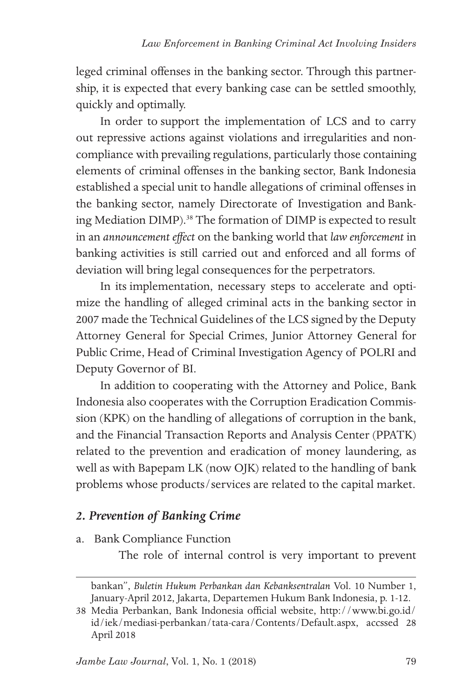leged criminal offenses in the banking sector. Through this partnership, it is expected that every banking case can be settled smoothly, quickly and optimally.

In order to support the implementation of LCS and to carry out repressive actions against violations and irregularities and noncompliance with prevailing regulations, particularly those containing elements of criminal offenses in the banking sector, Bank Indonesia established a special unit to handle allegations of criminal offenses in the banking sector, namely Directorate of Investigation and Banking Mediation DIMP).<sup>38</sup> The formation of DIMP is expected to result in an *announcement effect* on the banking world that *law enforcement* in banking activities is still carried out and enforced and all forms of deviation will bring legal consequences for the perpetrators.

In its implementation, necessary steps to accelerate and optimize the handling of alleged criminal acts in the banking sector in 2007 made the Technical Guidelines of the LCS signed by the Deputy Attorney General for Special Crimes, Junior Attorney General for Public Crime, Head of Criminal Investigation Agency of POLRI and Deputy Governor of BI.

In addition to cooperating with the Attorney and Police, Bank Indonesia also cooperates with the Corruption Eradication Commission (KPK) on the handling of allegations of corruption in the bank, and the Financial Transaction Reports and Analysis Center (PPATK) related to the prevention and eradication of money laundering, as well as with Bapepam LK (now OJK) related to the handling of bank problems whose products/services are related to the capital market.

### *2. Prevention of Banking Crime*

a. Bank Compliance Function

The role of internal control is very important to prevent

bankan", *Buletin Hukum Perbankan dan Kebanksentralan* Vol. 10 Number 1, January-April 2012, Jakarta, Departemen Hukum Bank Indonesia, p. 1-12.

<sup>38</sup> Media Perbankan, Bank Indonesia official website, http://www.bi.go.id/ id/iek/mediasi-perbankan/tata-cara/Contents/Default.aspx, accssed 28 April 2018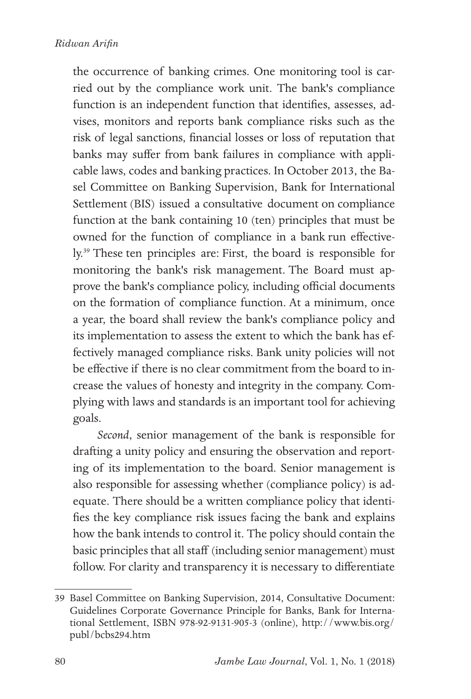the occurrence of banking crimes. One monitoring tool is carried out by the compliance work unit. The bank's compliance function is an independent function that identifies, assesses, advises, monitors and reports bank compliance risks such as the risk of legal sanctions, financial losses or loss of reputation that banks may suffer from bank failures in compliance with applicable laws, codes and banking practices. In October 2013, the Basel Committee on Banking Supervision, Bank for International Settlement (BIS) issued a consultative document on compliance function at the bank containing 10 (ten) principles that must be owned for the function of compliance in a bank run effectively.39 These ten principles are: First, the board is responsible for monitoring the bank's risk management. The Board must approve the bank's compliance policy, including official documents on the formation of compliance function. At a minimum, once a year, the board shall review the bank's compliance policy and its implementation to assess the extent to which the bank has effectively managed compliance risks. Bank unity policies will not be effective if there is no clear commitment from the board to increase the values of honesty and integrity in the company. Complying with laws and standards is an important tool for achieving goals.

*Second*, senior management of the bank is responsible for drafting a unity policy and ensuring the observation and reporting of its implementation to the board. Senior management is also responsible for assessing whether (compliance policy) is adequate. There should be a written compliance policy that identifies the key compliance risk issues facing the bank and explains how the bank intends to control it. The policy should contain the basic principles that all staff (including senior management) must follow. For clarity and transparency it is necessary to differentiate

<sup>39</sup> Basel Committee on Banking Supervision, 2014, Consultative Document: Guidelines Corporate Governance Principle for Banks, Bank for International Settlement, ISBN 978-92-9131-905-3 (online), http://www.bis.org/ publ/bcbs294.htm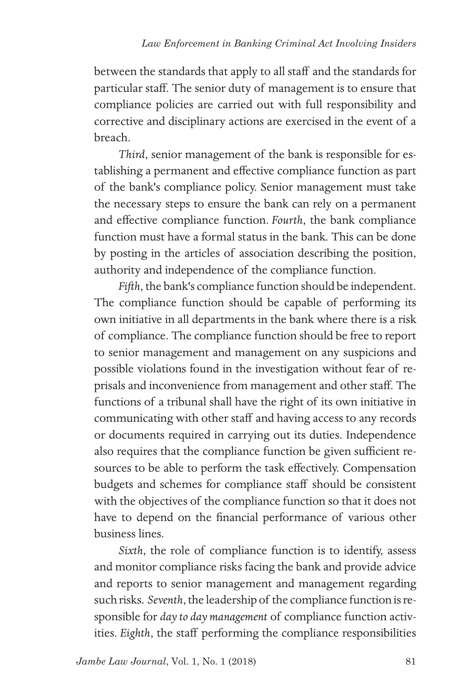between the standards that apply to all staff and the standards for particular staff. The senior duty of management is to ensure that compliance policies are carried out with full responsibility and corrective and disciplinary actions are exercised in the event of a breach.

*Third*, senior management of the bank is responsible for establishing a permanent and effective compliance function as part of the bank's compliance policy. Senior management must take the necessary steps to ensure the bank can rely on a permanent and effective compliance function. *Fourth*, the bank compliance function must have a formal status in the bank. This can be done by posting in the articles of association describing the position, authority and independence of the compliance function.

*Fifth*, the bank's compliance function should be independent. The compliance function should be capable of performing its own initiative in all departments in the bank where there is a risk of compliance. The compliance function should be free to report to senior management and management on any suspicions and possible violations found in the investigation without fear of reprisals and inconvenience from management and other staff. The functions of a tribunal shall have the right of its own initiative in communicating with other staff and having access to any records or documents required in carrying out its duties. Independence also requires that the compliance function be given sufficient resources to be able to perform the task effectively. Compensation budgets and schemes for compliance staff should be consistent with the objectives of the compliance function so that it does not have to depend on the financial performance of various other business lines.

*Sixth*, the role of compliance function is to identify, assess and monitor compliance risks facing the bank and provide advice and reports to senior management and management regarding such risks. *Seventh*, the leadership of the compliance function is responsible for *day to day management* of compliance function activities. *Eighth*, the staff performing the compliance responsibilities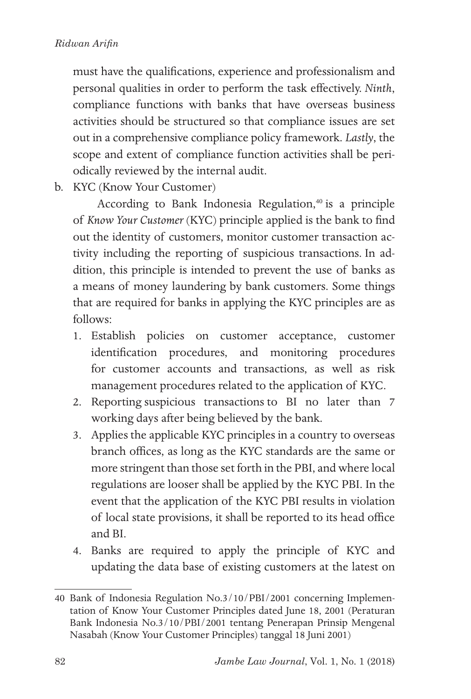must have the qualifications, experience and professionalism and personal qualities in order to perform the task effectively. *Ninth*, compliance functions with banks that have overseas business activities should be structured so that compliance issues are set out in a comprehensive compliance policy framework. *Lastly*, the scope and extent of compliance function activities shall be periodically reviewed by the internal audit.

b. KYC (Know Your Customer)

According to Bank Indonesia Regulation,<sup>40</sup> is a principle of *Know Your Customer* (KYC) principle applied is the bank to find out the identity of customers, monitor customer transaction activity including the reporting of suspicious transactions. In addition, this principle is intended to prevent the use of banks as a means of money laundering by bank customers. Some things that are required for banks in applying the KYC principles are as follows:

- 1. Establish policies on customer acceptance, customer identification procedures, and monitoring procedures for customer accounts and transactions, as well as risk management procedures related to the application of KYC.
- 2. Reporting suspicious transactions to BI no later than 7 working days after being believed by the bank.
- 3. Applies the applicable KYC principles in a country to overseas branch offices, as long as the KYC standards are the same or more stringent than those set forth in the PBI, and where local regulations are looser shall be applied by the KYC PBI. In the event that the application of the KYC PBI results in violation of local state provisions, it shall be reported to its head office and BI.
- 4. Banks are required to apply the principle of KYC and updating the data base of existing customers at the latest on

<sup>40</sup> Bank of Indonesia Regulation No.3/10/PBI/2001 concerning Implementation of Know Your Customer Principles dated June 18, 2001 (Peraturan Bank Indonesia No.3/10/PBI/2001 tentang Penerapan Prinsip Mengenal Nasabah (Know Your Customer Principles) tanggal 18 Juni 2001)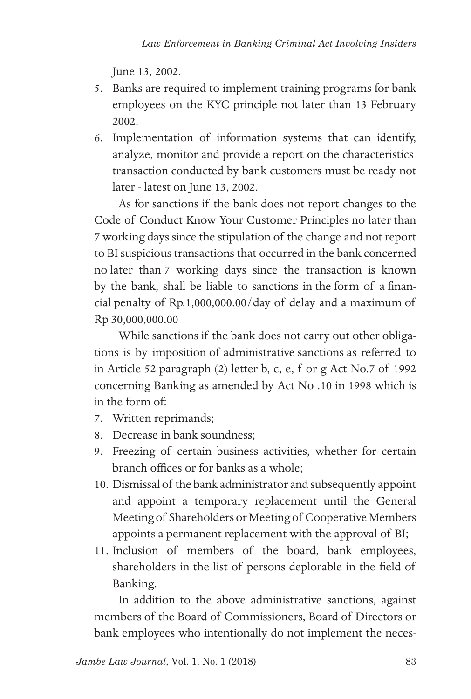June 13, 2002.

- 5. Banks are required to implement training programs for bank employees on the KYC principle not later than 13 February 2002.
- 6. Implementation of information systems that can identify, analyze, monitor and provide a report on the characteristics transaction conducted by bank customers must be ready not later - latest on June 13, 2002.

As for sanctions if the bank does not report changes to the Code of Conduct Know Your Customer Principles no later than 7 working days since the stipulation of the change and not report to BI suspicious transactions that occurred in the bank concerned no later than 7 working days since the transaction is known by the bank, shall be liable to sanctions in the form of a financial penalty of Rp.1,000,000.00/day of delay and a maximum of Rp 30,000,000.00

While sanctions if the bank does not carry out other obligations is by imposition of administrative sanctions as referred to in Article 52 paragraph (2) letter b, c, e, f or g Act No.7 of 1992 concerning Banking as amended by Act No .10 in 1998 which is in the form of:

- 7. Written reprimands;
- 8. Decrease in bank soundness;
- 9. Freezing of certain business activities, whether for certain branch offices or for banks as a whole;
- 10. Dismissal of the bank administrator and subsequently appoint and appoint a temporary replacement until the General Meeting of Shareholders or Meeting of Cooperative Members appoints a permanent replacement with the approval of BI;
- 11. Inclusion of members of the board, bank employees, shareholders in the list of persons deplorable in the field of Banking.

In addition to the above administrative sanctions, against members of the Board of Commissioners, Board of Directors or bank employees who intentionally do not implement the neces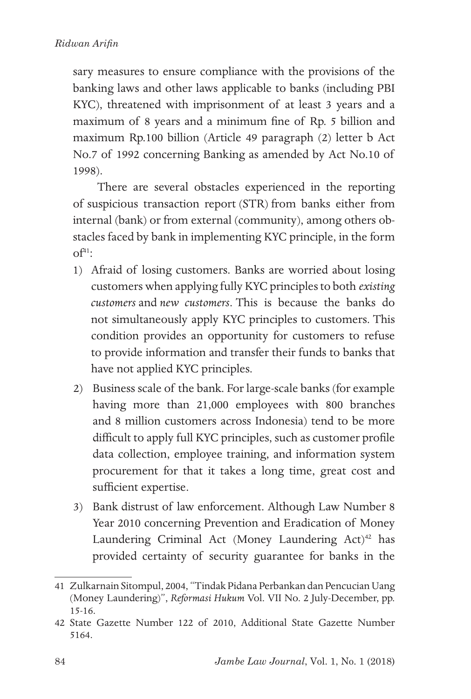sary measures to ensure compliance with the provisions of the banking laws and other laws applicable to banks (including PBI KYC), threatened with imprisonment of at least 3 years and a maximum of 8 years and a minimum fine of Rp. 5 billion and maximum Rp.100 billion (Article 49 paragraph (2) letter b Act No.7 of 1992 concerning Banking as amended by Act No.10 of 1998).

There are several obstacles experienced in the reporting of suspicious transaction report (STR) from banks either from internal (bank) or from external (community), among others obstacles faced by bank in implementing KYC principle, in the form  $\Omega^{41}$ 

- 1) Afraid of losing customers. Banks are worried about losing customers when applying fully KYC principles to both *existing customers* and *new customers*. This is because the banks do not simultaneously apply KYC principles to customers. This condition provides an opportunity for customers to refuse to provide information and transfer their funds to banks that have not applied KYC principles.
- 2) Business scale of the bank. For large-scale banks (for example having more than 21,000 employees with 800 branches and 8 million customers across Indonesia) tend to be more difficult to apply full KYC principles, such as customer profile data collection, employee training, and information system procurement for that it takes a long time, great cost and sufficient expertise.
- 3) Bank distrust of law enforcement. Although Law Number 8 Year 2010 concerning Prevention and Eradication of Money Laundering Criminal Act (Money Laundering Act)<sup>42</sup> has provided certainty of security guarantee for banks in the

<sup>41</sup> Zulkarnain Sitompul, 2004, "Tindak Pidana Perbankan dan Pencucian Uang (Money Laundering)", *Reformasi Hukum* Vol. VII No. 2 July-December, pp. 15-16.

<sup>42</sup> State Gazette Number 122 of 2010, Additional State Gazette Number 5164.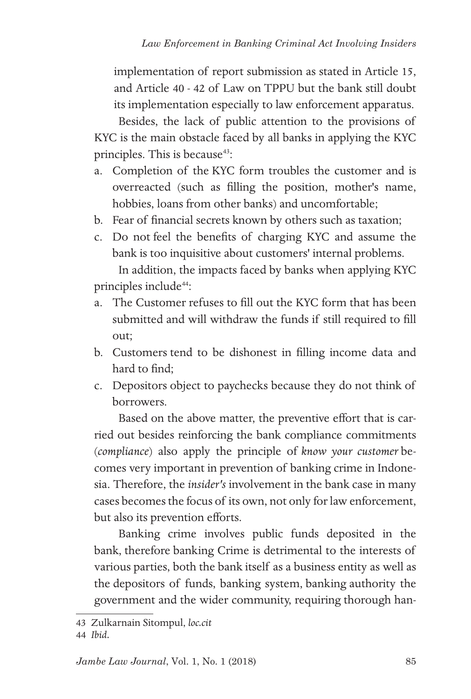implementation of report submission as stated in Article 15, and Article 40 - 42 of Law on TPPU but the bank still doubt its implementation especially to law enforcement apparatus.

Besides, the lack of public attention to the provisions of KYC is the main obstacle faced by all banks in applying the KYC principles. This is because<sup>43</sup>:

- a. Completion of the KYC form troubles the customer and is overreacted (such as filling the position, mother's name, hobbies, loans from other banks) and uncomfortable;
- b. Fear of financial secrets known by others such as taxation;
- c. Do not feel the benefits of charging KYC and assume the bank is too inquisitive about customers' internal problems. In addition, the impacts faced by banks when applying KYC

principles include<sup>44</sup>:

- a. The Customer refuses to fill out the KYC form that has been submitted and will withdraw the funds if still required to fill out;
- b. Customers tend to be dishonest in filling income data and hard to find;
- c. Depositors object to paychecks because they do not think of borrowers.

Based on the above matter, the preventive effort that is carried out besides reinforcing the bank compliance commitments (*compliance*) also apply the principle of *know your customer* becomes very important in prevention of banking crime in Indonesia. Therefore, the *insider's* involvement in the bank case in many cases becomes the focus of its own, not only for law enforcement, but also its prevention efforts.

Banking crime involves public funds deposited in the bank, therefore banking Crime is detrimental to the interests of various parties, both the bank itself as a business entity as well as the depositors of funds, banking system, banking authority the government and the wider community, requiring thorough han-

<sup>43</sup> Zulkarnain Sitompul, *loc.cit*

<sup>44</sup> *Ibid.*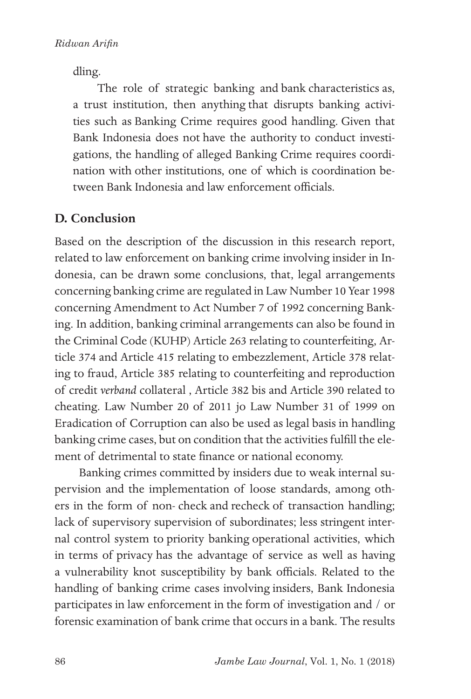dling.

The role of strategic banking and bank characteristics as, a trust institution, then anything that disrupts banking activities such as Banking Crime requires good handling. Given that Bank Indonesia does not have the authority to conduct investigations, the handling of alleged Banking Crime requires coordination with other institutions, one of which is coordination between Bank Indonesia and law enforcement officials.

### **D. Conclusion**

Based on the description of the discussion in this research report, related to law enforcement on banking crime involving insider in Indonesia, can be drawn some conclusions, that, legal arrangements concerning banking crime are regulated in Law Number 10 Year 1998 concerning Amendment to Act Number 7 of 1992 concerning Banking. In addition, banking criminal arrangements can also be found in the Criminal Code (KUHP) Article 263 relating to counterfeiting, Article 374 and Article 415 relating to embezzlement, Article 378 relating to fraud, Article 385 relating to counterfeiting and reproduction of credit *verband* collateral , Article 382 bis and Article 390 related to cheating. Law Number 20 of 2011 jo Law Number 31 of 1999 on Eradication of Corruption can also be used as legal basis in handling banking crime cases, but on condition that the activities fulfill the element of detrimental to state finance or national economy.

Banking crimes committed by insiders due to weak internal supervision and the implementation of loose standards, among others in the form of non- check and recheck of transaction handling; lack of supervisory supervision of subordinates; less stringent internal control system to priority banking operational activities, which in terms of privacy has the advantage of service as well as having a vulnerability knot susceptibility by bank officials. Related to the handling of banking crime cases involving insiders, Bank Indonesia participates in law enforcement in the form of investigation and / or forensic examination of bank crime that occurs in a bank. The results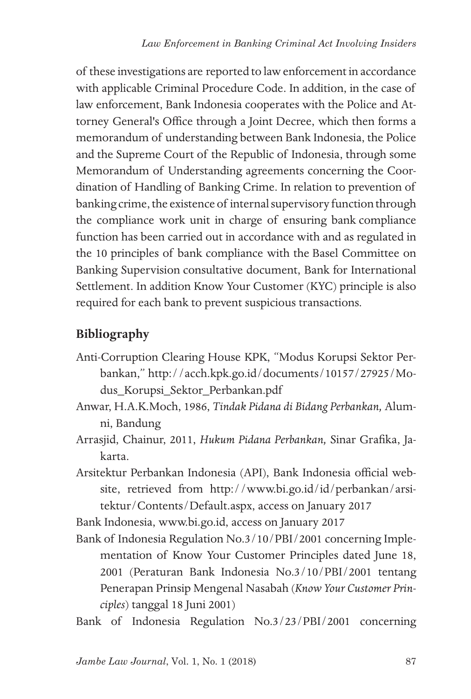of these investigations are reported to law enforcement in accordance with applicable Criminal Procedure Code. In addition, in the case of law enforcement, Bank Indonesia cooperates with the Police and Attorney General's Office through a Joint Decree, which then forms a memorandum of understanding between Bank Indonesia, the Police and the Supreme Court of the Republic of Indonesia, through some Memorandum of Understanding agreements concerning the Coordination of Handling of Banking Crime. In relation to prevention of banking crime, the existence of internal supervisory function through the compliance work unit in charge of ensuring bank compliance function has been carried out in accordance with and as regulated in the 10 principles of bank compliance with the Basel Committee on Banking Supervision consultative document, Bank for International Settlement. In addition Know Your Customer (KYC) principle is also required for each bank to prevent suspicious transactions.

## **Bibliography**

- Anti-Corruption Clearing House KPK, "Modus Korupsi Sektor Perbankan," http://acch.kpk.go.id/documents/10157/27925/Modus\_Korupsi\_Sektor\_Perbankan.pdf
- Anwar, H.A.K.Moch, 1986, *Tindak Pidana di Bidang Perbankan,* Alumni, Bandung
- Arrasjid, Chainur, 2011, *Hukum Pidana Perbankan,* Sinar Grafika, Jakarta.
- Arsitektur Perbankan Indonesia (API), Bank Indonesia official website, retrieved from http://www.bi.go.id/id/perbankan/arsitektur/Contents/Default.aspx, access on January 2017

Bank Indonesia, www.bi.go.id, access on January 2017

- Bank of Indonesia Regulation No.3/10/PBI/2001 concerning Implementation of Know Your Customer Principles dated June 18, 2001 (Peraturan Bank Indonesia No.3/10/PBI/2001 tentang Penerapan Prinsip Mengenal Nasabah (*Know Your Customer Principles*) tanggal 18 Juni 2001)
- Bank of Indonesia Regulation No.3/23/PBI/2001 concerning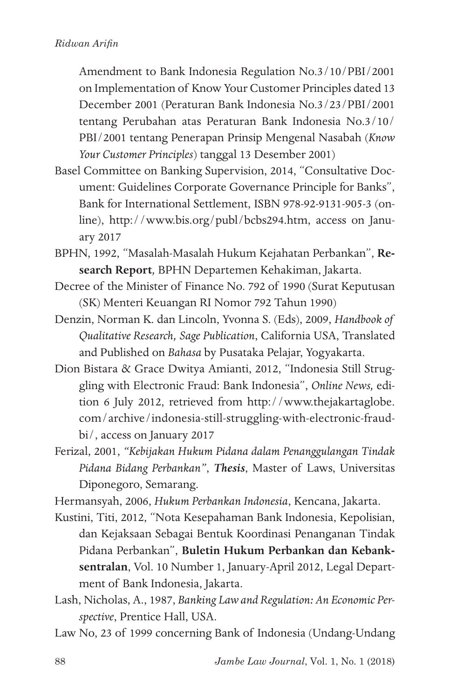Amendment to Bank Indonesia Regulation No.3/10/PBI/2001 on Implementation of Know Your Customer Principles dated 13 December 2001 (Peraturan Bank Indonesia No.3/23/PBI/2001 tentang Perubahan atas Peraturan Bank Indonesia No.3/10/ PBI/2001 tentang Penerapan Prinsip Mengenal Nasabah (*Know Your Customer Principles*) tanggal 13 Desember 2001)

- Basel Committee on Banking Supervision, 2014, "Consultative Document: Guidelines Corporate Governance Principle for Banks", Bank for International Settlement, ISBN 978-92-9131-905-3 (online), http://www.bis.org/publ/bcbs294.htm, access on January 2017
- BPHN, 1992, "Masalah-Masalah Hukum Kejahatan Perbankan", **Research Report***,* BPHN Departemen Kehakiman, Jakarta.
- Decree of the Minister of Finance No. 792 of 1990 (Surat Keputusan (SK) Menteri Keuangan RI Nomor 792 Tahun 1990)
- Denzin, Norman K. dan Lincoln, Yvonna S. (Eds), 2009, *Handbook of Qualitative Research, Sage Publication*, California USA, Translated and Published on *Bahasa* by Pusataka Pelajar, Yogyakarta.
- Dion Bistara & Grace Dwitya Amianti, 2012, "Indonesia Still Struggling with Electronic Fraud: Bank Indonesia", *Online News,* edition 6 July 2012, retrieved from http://www.thejakartaglobe. com/archive/indonesia-still-struggling-with-electronic-fraudbi/, access on January 2017
- Ferizal, 2001, *"Kebijakan Hukum Pidana dalam Penanggulangan Tindak Pidana Bidang Perbankan"*, *Thesis*, Master of Laws, Universitas Diponegoro, Semarang.
- Hermansyah, 2006, *Hukum Perbankan Indonesia*, Kencana, Jakarta.
- Kustini, Titi, 2012, "Nota Kesepahaman Bank Indonesia, Kepolisian, dan Kejaksaan Sebagai Bentuk Koordinasi Penanganan Tindak Pidana Perbankan", **Buletin Hukum Perbankan dan Kebanksentralan**, Vol. 10 Number 1, January-April 2012, Legal Department of Bank Indonesia, Jakarta.
- Lash, Nicholas, A., 1987, *Banking Law and Regulation: An Economic Perspective*, Prentice Hall, USA.
- Law No, 23 of 1999 concerning Bank of Indonesia (Undang-Undang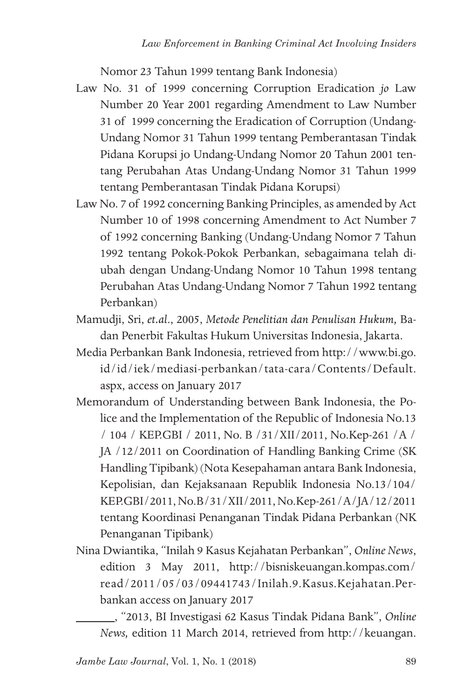Nomor 23 Tahun 1999 tentang Bank Indonesia)

- Law No. 31 of 1999 concerning Corruption Eradication *jo* Law Number 20 Year 2001 regarding Amendment to Law Number 31 of 1999 concerning the Eradication of Corruption (Undang-Undang Nomor 31 Tahun 1999 tentang Pemberantasan Tindak Pidana Korupsi jo Undang-Undang Nomor 20 Tahun 2001 tentang Perubahan Atas Undang-Undang Nomor 31 Tahun 1999 tentang Pemberantasan Tindak Pidana Korupsi)
- Law No. 7 of 1992 concerning Banking Principles, as amended by Act Number 10 of 1998 concerning Amendment to Act Number 7 of 1992 concerning Banking (Undang-Undang Nomor 7 Tahun 1992 tentang Pokok-Pokok Perbankan, sebagaimana telah diubah dengan Undang-Undang Nomor 10 Tahun 1998 tentang Perubahan Atas Undang-Undang Nomor 7 Tahun 1992 tentang Perbankan)
- Mamudji, Sri, *et.al*., 2005, *Metode Penelitian dan Penulisan Hukum,* Badan Penerbit Fakultas Hukum Universitas Indonesia, Jakarta.
- Media Perbankan Bank Indonesia, retrieved from http://www.bi.go. id/id/iek/mediasi-perbankan/tata-cara/Contents/Default. aspx, access on January 2017
- Memorandum of Understanding between Bank Indonesia, the Police and the Implementation of the Republic of Indonesia No.13 / 104 / KEP.GBI / 2011, No. B /31/XII/2011, No.Kep-261 /A / JA /12/2011 on Coordination of Handling Banking Crime (SK Handling Tipibank) (Nota Kesepahaman antara Bank Indonesia, Kepolisian, dan Kejaksanaan Republik Indonesia No.13/104/ KEP.GBI/2011, No.B/31/XII/2011, No.Kep-261/A/JA/12/2011 tentang Koordinasi Penanganan Tindak Pidana Perbankan (NK Penanganan Tipibank)
- Nina Dwiantika, "Inilah 9 Kasus Kejahatan Perbankan", *Online News*, edition 3 May 2011, http://bisniskeuangan.kompas.com/ read/2011/05/03/09441743/Inilah.9.Kasus.Kejahatan.Perbankan access on January 2017

 , "2013, BI Investigasi 62 Kasus Tindak Pidana Bank", *Online News,* edition 11 March 2014, retrieved from http://keuangan.